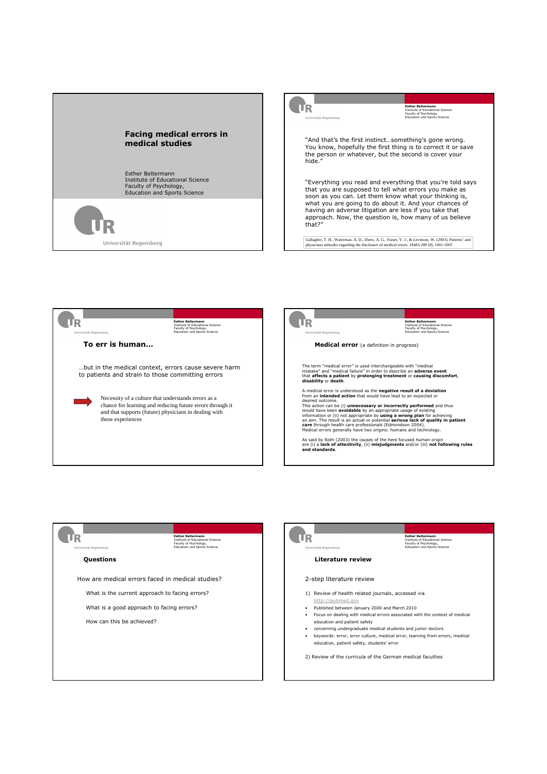









- Published between January 2000 and March 2010
- Focus on dealing with medical errors associated with the context of medical
- keywords: error, error culture, medical error, learning from errors, medical education, patient safety, students' error
- 2) Review of the curricula of the German medical faculties